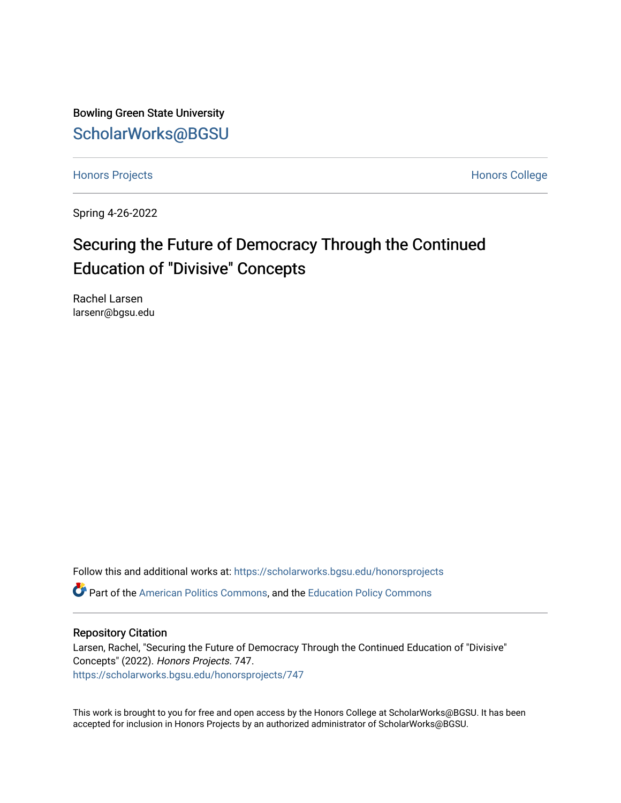Bowling Green State University [ScholarWorks@BGSU](https://scholarworks.bgsu.edu/) 

[Honors Projects](https://scholarworks.bgsu.edu/honorsprojects) **Honors** College

Spring 4-26-2022

# Securing the Future of Democracy Through the Continued Education of "Divisive" Concepts

Rachel Larsen larsenr@bgsu.edu

Follow this and additional works at: [https://scholarworks.bgsu.edu/honorsprojects](https://scholarworks.bgsu.edu/honorsprojects?utm_source=scholarworks.bgsu.edu%2Fhonorsprojects%2F747&utm_medium=PDF&utm_campaign=PDFCoverPages) 

Part of the [American Politics Commons,](http://network.bepress.com/hgg/discipline/387?utm_source=scholarworks.bgsu.edu%2Fhonorsprojects%2F747&utm_medium=PDF&utm_campaign=PDFCoverPages) and the [Education Policy Commons](http://network.bepress.com/hgg/discipline/1026?utm_source=scholarworks.bgsu.edu%2Fhonorsprojects%2F747&utm_medium=PDF&utm_campaign=PDFCoverPages) 

# Repository Citation

Larsen, Rachel, "Securing the Future of Democracy Through the Continued Education of "Divisive" Concepts" (2022). Honors Projects. 747. [https://scholarworks.bgsu.edu/honorsprojects/747](https://scholarworks.bgsu.edu/honorsprojects/747?utm_source=scholarworks.bgsu.edu%2Fhonorsprojects%2F747&utm_medium=PDF&utm_campaign=PDFCoverPages) 

This work is brought to you for free and open access by the Honors College at ScholarWorks@BGSU. It has been accepted for inclusion in Honors Projects by an authorized administrator of ScholarWorks@BGSU.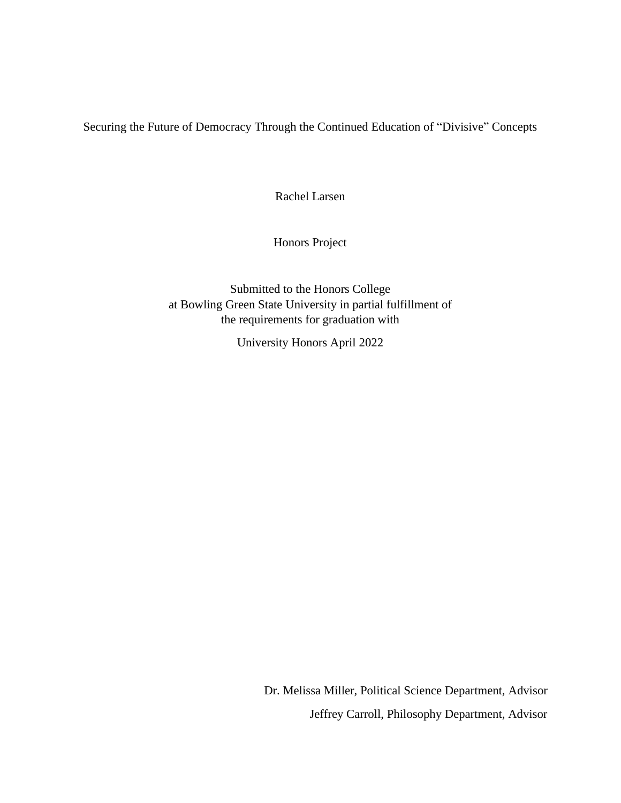Securing the Future of Democracy Through the Continued Education of "Divisive" Concepts

Rachel Larsen

Honors Project

Submitted to the Honors College at Bowling Green State University in partial fulfillment of the requirements for graduation with

University Honors April 2022

Dr. Melissa Miller, Political Science Department, Advisor Jeffrey Carroll, Philosophy Department, Advisor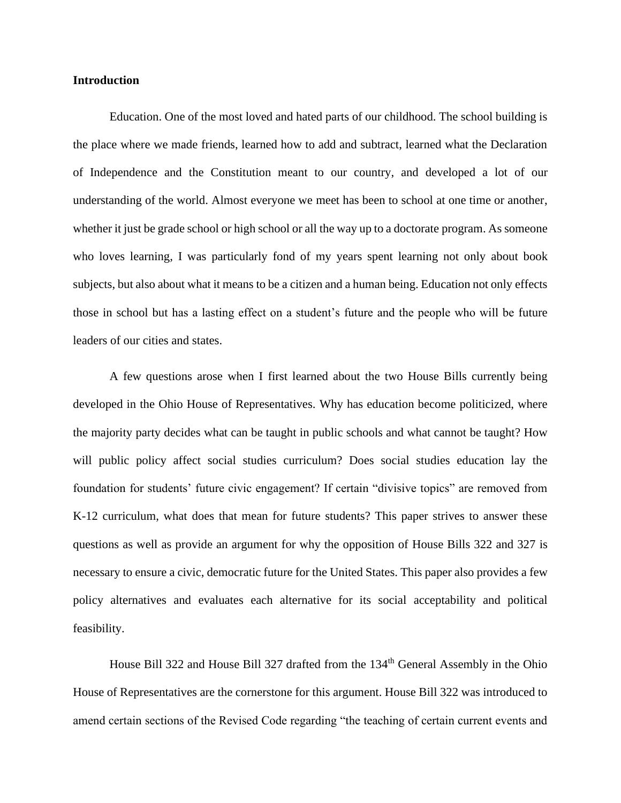# **Introduction**

Education. One of the most loved and hated parts of our childhood. The school building is the place where we made friends, learned how to add and subtract, learned what the Declaration of Independence and the Constitution meant to our country, and developed a lot of our understanding of the world. Almost everyone we meet has been to school at one time or another, whether it just be grade school or high school or all the way up to a doctorate program. As someone who loves learning, I was particularly fond of my years spent learning not only about book subjects, but also about what it means to be a citizen and a human being. Education not only effects those in school but has a lasting effect on a student's future and the people who will be future leaders of our cities and states.

A few questions arose when I first learned about the two House Bills currently being developed in the Ohio House of Representatives. Why has education become politicized, where the majority party decides what can be taught in public schools and what cannot be taught? How will public policy affect social studies curriculum? Does social studies education lay the foundation for students' future civic engagement? If certain "divisive topics" are removed from K-12 curriculum, what does that mean for future students? This paper strives to answer these questions as well as provide an argument for why the opposition of House Bills 322 and 327 is necessary to ensure a civic, democratic future for the United States. This paper also provides a few policy alternatives and evaluates each alternative for its social acceptability and political feasibility.

House Bill 322 and House Bill 327 drafted from the 134<sup>th</sup> General Assembly in the Ohio House of Representatives are the cornerstone for this argument. House Bill 322 was introduced to amend certain sections of the Revised Code regarding "the teaching of certain current events and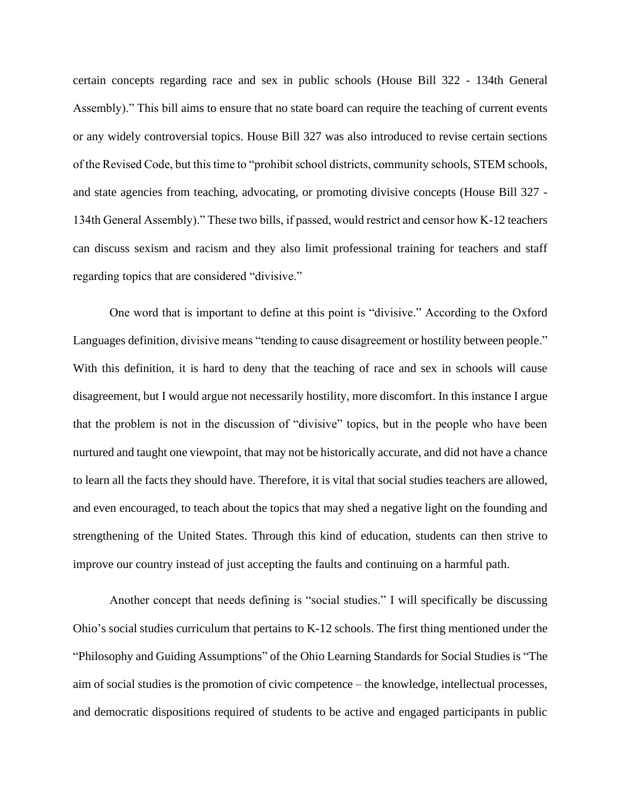certain concepts regarding race and sex in public schools (House Bill 322 - 134th General Assembly)." This bill aims to ensure that no state board can require the teaching of current events or any widely controversial topics. House Bill 327 was also introduced to revise certain sections of the Revised Code, but this time to "prohibit school districts, community schools, STEM schools, and state agencies from teaching, advocating, or promoting divisive concepts (House Bill 327 - 134th General Assembly)." These two bills, if passed, would restrict and censor how K-12 teachers can discuss sexism and racism and they also limit professional training for teachers and staff regarding topics that are considered "divisive."

One word that is important to define at this point is "divisive." According to the Oxford Languages definition, divisive means "tending to cause disagreement or hostility between people." With this definition, it is hard to deny that the teaching of race and sex in schools will cause disagreement, but I would argue not necessarily hostility, more discomfort. In this instance I argue that the problem is not in the discussion of "divisive" topics, but in the people who have been nurtured and taught one viewpoint, that may not be historically accurate, and did not have a chance to learn all the facts they should have. Therefore, it is vital that social studies teachers are allowed, and even encouraged, to teach about the topics that may shed a negative light on the founding and strengthening of the United States. Through this kind of education, students can then strive to improve our country instead of just accepting the faults and continuing on a harmful path.

Another concept that needs defining is "social studies." I will specifically be discussing Ohio's social studies curriculum that pertains to K-12 schools. The first thing mentioned under the "Philosophy and Guiding Assumptions" of the Ohio Learning Standards for Social Studies is "The aim of social studies is the promotion of civic competence – the knowledge, intellectual processes, and democratic dispositions required of students to be active and engaged participants in public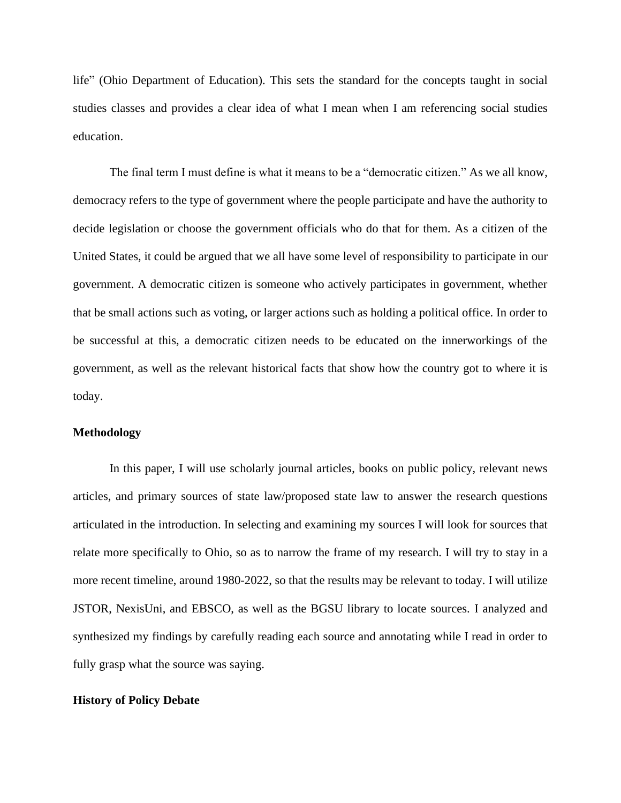life" (Ohio Department of Education). This sets the standard for the concepts taught in social studies classes and provides a clear idea of what I mean when I am referencing social studies education.

The final term I must define is what it means to be a "democratic citizen." As we all know, democracy refers to the type of government where the people participate and have the authority to decide legislation or choose the government officials who do that for them. As a citizen of the United States, it could be argued that we all have some level of responsibility to participate in our government. A democratic citizen is someone who actively participates in government, whether that be small actions such as voting, or larger actions such as holding a political office. In order to be successful at this, a democratic citizen needs to be educated on the innerworkings of the government, as well as the relevant historical facts that show how the country got to where it is today.

# **Methodology**

In this paper, I will use scholarly journal articles, books on public policy, relevant news articles, and primary sources of state law/proposed state law to answer the research questions articulated in the introduction. In selecting and examining my sources I will look for sources that relate more specifically to Ohio, so as to narrow the frame of my research. I will try to stay in a more recent timeline, around 1980-2022, so that the results may be relevant to today. I will utilize JSTOR, NexisUni, and EBSCO, as well as the BGSU library to locate sources. I analyzed and synthesized my findings by carefully reading each source and annotating while I read in order to fully grasp what the source was saying.

# **History of Policy Debate**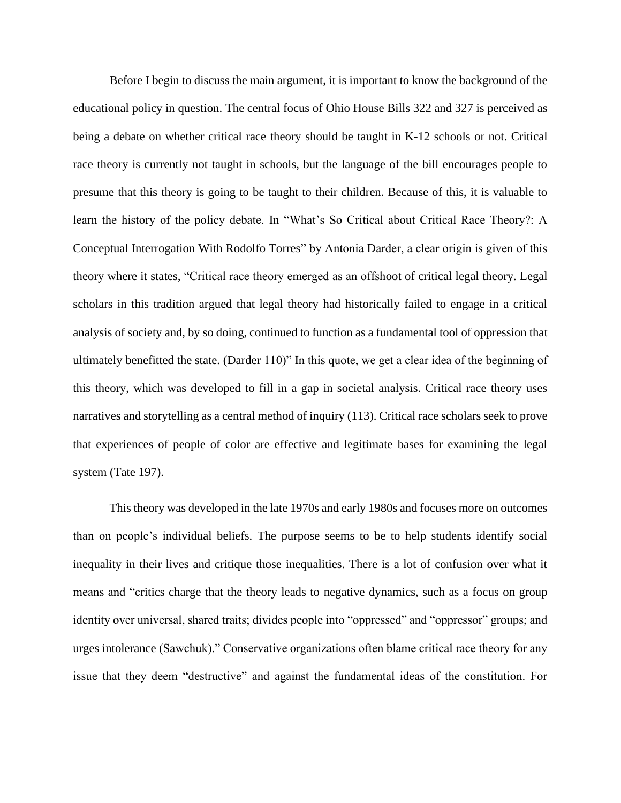Before I begin to discuss the main argument, it is important to know the background of the educational policy in question. The central focus of Ohio House Bills 322 and 327 is perceived as being a debate on whether critical race theory should be taught in K-12 schools or not. Critical race theory is currently not taught in schools, but the language of the bill encourages people to presume that this theory is going to be taught to their children. Because of this, it is valuable to learn the history of the policy debate. In "What's So Critical about Critical Race Theory?: A Conceptual Interrogation With Rodolfo Torres" by Antonia Darder, a clear origin is given of this theory where it states, "Critical race theory emerged as an offshoot of critical legal theory. Legal scholars in this tradition argued that legal theory had historically failed to engage in a critical analysis of society and, by so doing, continued to function as a fundamental tool of oppression that ultimately benefitted the state. (Darder 110)" In this quote, we get a clear idea of the beginning of this theory, which was developed to fill in a gap in societal analysis. Critical race theory uses narratives and storytelling as a central method of inquiry (113). Critical race scholars seek to prove that experiences of people of color are effective and legitimate bases for examining the legal system (Tate 197).

This theory was developed in the late 1970s and early 1980s and focuses more on outcomes than on people's individual beliefs. The purpose seems to be to help students identify social inequality in their lives and critique those inequalities. There is a lot of confusion over what it means and "critics charge that the theory leads to negative dynamics, such as a focus on group identity over universal, shared traits; divides people into "oppressed" and "oppressor" groups; and urges intolerance (Sawchuk)." Conservative organizations often blame critical race theory for any issue that they deem "destructive" and against the fundamental ideas of the constitution. For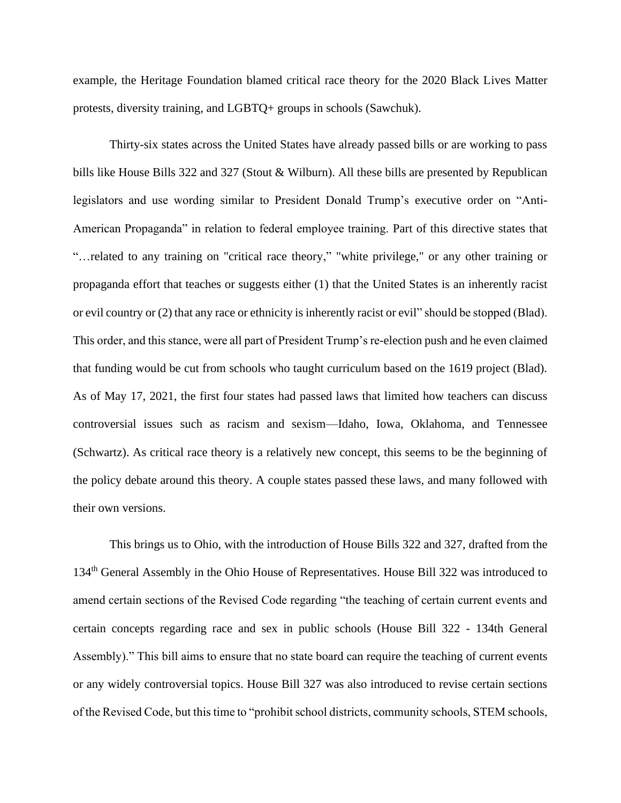example, the Heritage Foundation blamed critical race theory for the 2020 Black Lives Matter protests, diversity training, and LGBTQ+ groups in schools (Sawchuk).

Thirty-six states across the United States have already passed bills or are working to pass bills like House Bills 322 and 327 (Stout & Wilburn). All these bills are presented by Republican legislators and use wording similar to President Donald Trump's executive order on "Anti-American Propaganda" in relation to federal employee training. Part of this directive states that "…related to any training on "critical race theory," "white privilege," or any other training or propaganda effort that teaches or suggests either (1) that the United States is an inherently racist or evil country or (2) that any race or ethnicity is inherently racist or evil" should be stopped (Blad). This order, and this stance, were all part of President Trump's re-election push and he even claimed that funding would be cut from schools who taught curriculum based on the 1619 project (Blad). As of May 17, 2021, the first four states had passed laws that limited how teachers can discuss controversial issues such as racism and sexism—Idaho, Iowa, Oklahoma, and Tennessee (Schwartz). As critical race theory is a relatively new concept, this seems to be the beginning of the policy debate around this theory. A couple states passed these laws, and many followed with their own versions.

This brings us to Ohio, with the introduction of House Bills 322 and 327, drafted from the 134th General Assembly in the Ohio House of Representatives. House Bill 322 was introduced to amend certain sections of the Revised Code regarding "the teaching of certain current events and certain concepts regarding race and sex in public schools (House Bill 322 - 134th General Assembly)." This bill aims to ensure that no state board can require the teaching of current events or any widely controversial topics. House Bill 327 was also introduced to revise certain sections of the Revised Code, but this time to "prohibit school districts, community schools, STEM schools,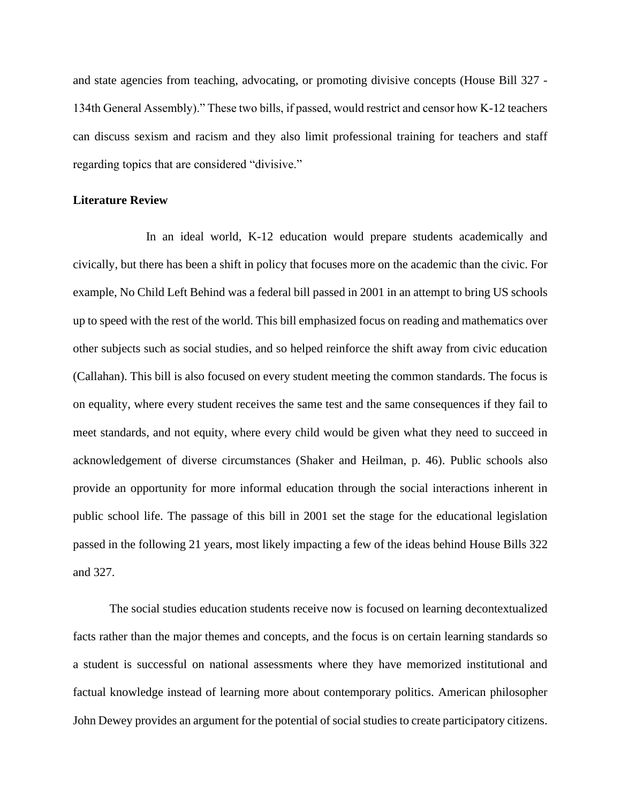and state agencies from teaching, advocating, or promoting divisive concepts (House Bill 327 - 134th General Assembly)." These two bills, if passed, would restrict and censor how K-12 teachers can discuss sexism and racism and they also limit professional training for teachers and staff regarding topics that are considered "divisive."

## **Literature Review**

In an ideal world, K-12 education would prepare students academically and civically, but there has been a shift in policy that focuses more on the academic than the civic. For example, No Child Left Behind was a federal bill passed in 2001 in an attempt to bring US schools up to speed with the rest of the world. This bill emphasized focus on reading and mathematics over other subjects such as social studies, and so helped reinforce the shift away from civic education (Callahan). This bill is also focused on every student meeting the common standards. The focus is on equality, where every student receives the same test and the same consequences if they fail to meet standards, and not equity, where every child would be given what they need to succeed in acknowledgement of diverse circumstances (Shaker and Heilman, p. 46). Public schools also provide an opportunity for more informal education through the social interactions inherent in public school life. The passage of this bill in 2001 set the stage for the educational legislation passed in the following 21 years, most likely impacting a few of the ideas behind House Bills 322 and 327.

The social studies education students receive now is focused on learning decontextualized facts rather than the major themes and concepts, and the focus is on certain learning standards so a student is successful on national assessments where they have memorized institutional and factual knowledge instead of learning more about contemporary politics. American philosopher John Dewey provides an argument for the potential of social studies to create participatory citizens.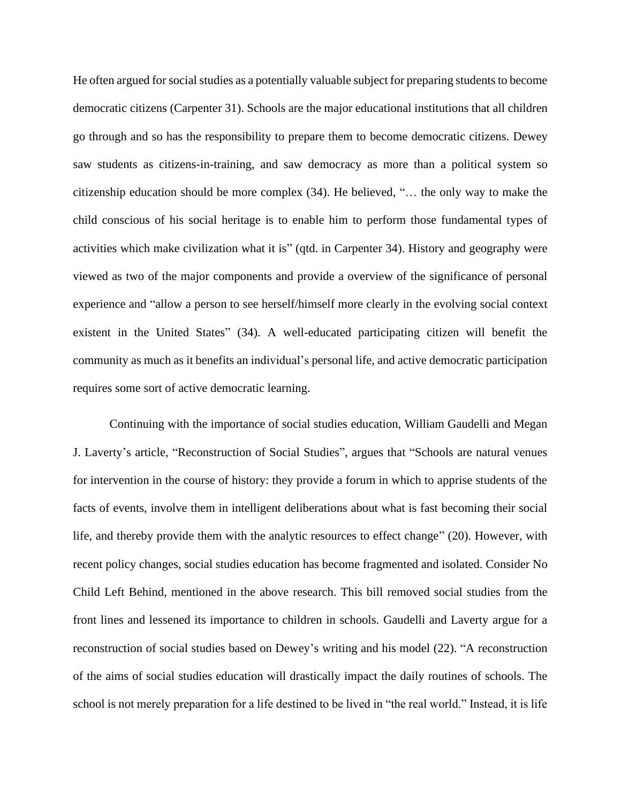He often argued for social studies as a potentially valuable subject for preparing students to become democratic citizens (Carpenter 31). Schools are the major educational institutions that all children go through and so has the responsibility to prepare them to become democratic citizens. Dewey saw students as citizens-in-training, and saw democracy as more than a political system so citizenship education should be more complex (34). He believed, "… the only way to make the child conscious of his social heritage is to enable him to perform those fundamental types of activities which make civilization what it is" (qtd. in Carpenter 34). History and geography were viewed as two of the major components and provide a overview of the significance of personal experience and "allow a person to see herself/himself more clearly in the evolving social context existent in the United States" (34). A well-educated participating citizen will benefit the community as much as it benefits an individual's personal life, and active democratic participation requires some sort of active democratic learning.

Continuing with the importance of social studies education, William Gaudelli and Megan J. Laverty's article, "Reconstruction of Social Studies", argues that "Schools are natural venues for intervention in the course of history: they provide a forum in which to apprise students of the facts of events, involve them in intelligent deliberations about what is fast becoming their social life, and thereby provide them with the analytic resources to effect change" (20). However, with recent policy changes, social studies education has become fragmented and isolated. Consider No Child Left Behind, mentioned in the above research. This bill removed social studies from the front lines and lessened its importance to children in schools. Gaudelli and Laverty argue for a reconstruction of social studies based on Dewey's writing and his model (22). "A reconstruction of the aims of social studies education will drastically impact the daily routines of schools. The school is not merely preparation for a life destined to be lived in "the real world." Instead, it is life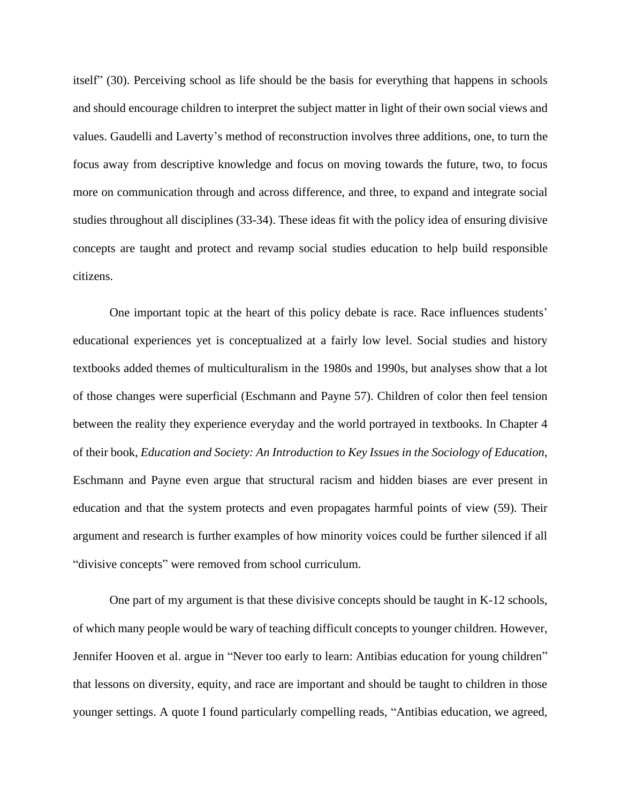itself" (30). Perceiving school as life should be the basis for everything that happens in schools and should encourage children to interpret the subject matter in light of their own social views and values. Gaudelli and Laverty's method of reconstruction involves three additions, one, to turn the focus away from descriptive knowledge and focus on moving towards the future, two, to focus more on communication through and across difference, and three, to expand and integrate social studies throughout all disciplines (33-34). These ideas fit with the policy idea of ensuring divisive concepts are taught and protect and revamp social studies education to help build responsible citizens.

One important topic at the heart of this policy debate is race. Race influences students' educational experiences yet is conceptualized at a fairly low level. Social studies and history textbooks added themes of multiculturalism in the 1980s and 1990s, but analyses show that a lot of those changes were superficial (Eschmann and Payne 57). Children of color then feel tension between the reality they experience everyday and the world portrayed in textbooks. In Chapter 4 of their book, *Education and Society: An Introduction to Key Issues in the Sociology of Education*, Eschmann and Payne even argue that structural racism and hidden biases are ever present in education and that the system protects and even propagates harmful points of view (59). Their argument and research is further examples of how minority voices could be further silenced if all "divisive concepts" were removed from school curriculum.

One part of my argument is that these divisive concepts should be taught in K-12 schools, of which many people would be wary of teaching difficult concepts to younger children. However, Jennifer Hooven et al. argue in "Never too early to learn: Antibias education for young children" that lessons on diversity, equity, and race are important and should be taught to children in those younger settings. A quote I found particularly compelling reads, "Antibias education, we agreed,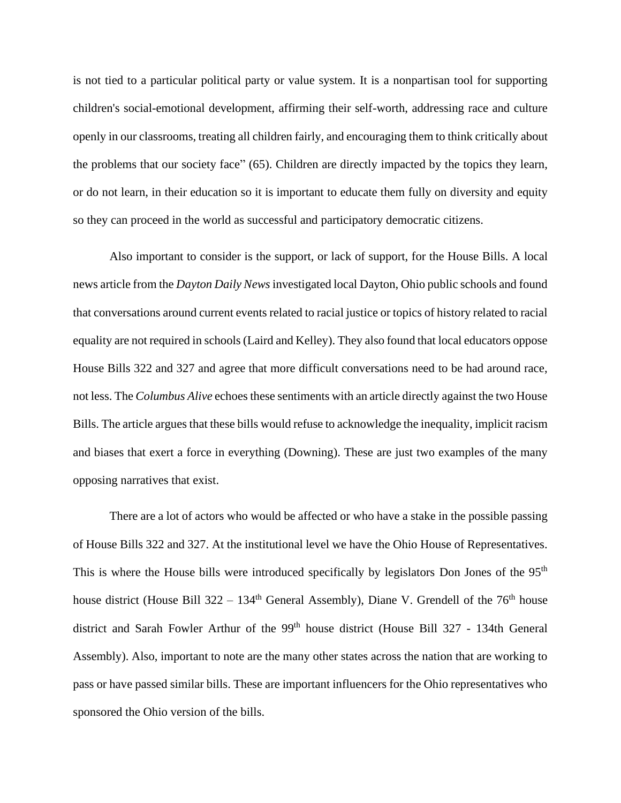is not tied to a particular political party or value system. It is a nonpartisan tool for supporting children's social-emotional development, affirming their self-worth, addressing race and culture openly in our classrooms, treating all children fairly, and encouraging them to think critically about the problems that our society face" (65). Children are directly impacted by the topics they learn, or do not learn, in their education so it is important to educate them fully on diversity and equity so they can proceed in the world as successful and participatory democratic citizens.

Also important to consider is the support, or lack of support, for the House Bills. A local news article from the *Dayton Daily News* investigated local Dayton, Ohio public schools and found that conversations around current events related to racial justice or topics of history related to racial equality are not required in schools(Laird and Kelley). They also found that local educators oppose House Bills 322 and 327 and agree that more difficult conversations need to be had around race, not less. The *Columbus Alive* echoes these sentiments with an article directly against the two House Bills. The article argues that these bills would refuse to acknowledge the inequality, implicit racism and biases that exert a force in everything (Downing). These are just two examples of the many opposing narratives that exist.

There are a lot of actors who would be affected or who have a stake in the possible passing of House Bills 322 and 327. At the institutional level we have the Ohio House of Representatives. This is where the House bills were introduced specifically by legislators Don Jones of the 95<sup>th</sup> house district (House Bill 322 – 134<sup>th</sup> General Assembly), Diane V. Grendell of the 76<sup>th</sup> house district and Sarah Fowler Arthur of the 99<sup>th</sup> house district (House Bill 327 - 134th General Assembly). Also, important to note are the many other states across the nation that are working to pass or have passed similar bills. These are important influencers for the Ohio representatives who sponsored the Ohio version of the bills.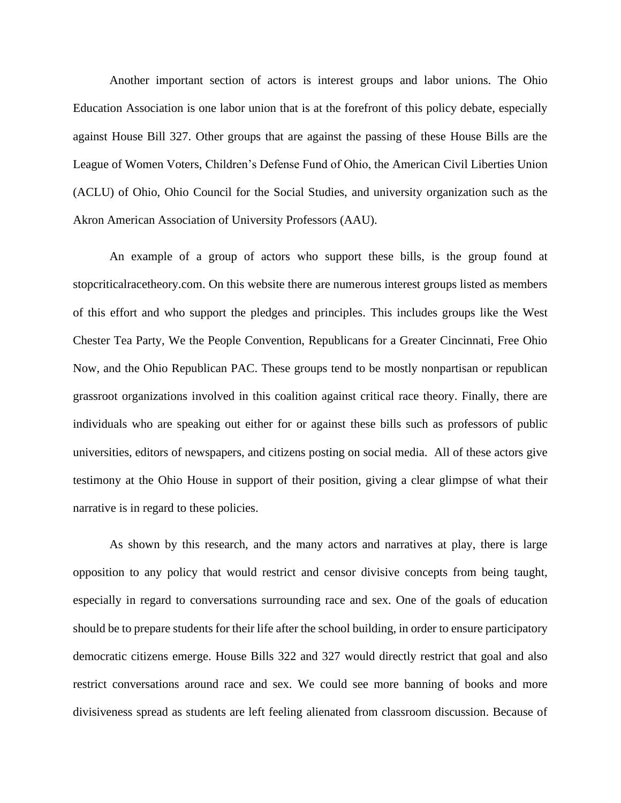Another important section of actors is interest groups and labor unions. The Ohio Education Association is one labor union that is at the forefront of this policy debate, especially against House Bill 327. Other groups that are against the passing of these House Bills are the League of Women Voters, Children's Defense Fund of Ohio, the American Civil Liberties Union (ACLU) of Ohio, Ohio Council for the Social Studies, and university organization such as the Akron American Association of University Professors (AAU).

An example of a group of actors who support these bills, is the group found at stopcriticalracetheory.com. On this website there are numerous interest groups listed as members of this effort and who support the pledges and principles. This includes groups like the West Chester Tea Party, We the People Convention, Republicans for a Greater Cincinnati, Free Ohio Now, and the Ohio Republican PAC. These groups tend to be mostly nonpartisan or republican grassroot organizations involved in this coalition against critical race theory. Finally, there are individuals who are speaking out either for or against these bills such as professors of public universities, editors of newspapers, and citizens posting on social media. All of these actors give testimony at the Ohio House in support of their position, giving a clear glimpse of what their narrative is in regard to these policies.

As shown by this research, and the many actors and narratives at play, there is large opposition to any policy that would restrict and censor divisive concepts from being taught, especially in regard to conversations surrounding race and sex. One of the goals of education should be to prepare students for their life after the school building, in order to ensure participatory democratic citizens emerge. House Bills 322 and 327 would directly restrict that goal and also restrict conversations around race and sex. We could see more banning of books and more divisiveness spread as students are left feeling alienated from classroom discussion. Because of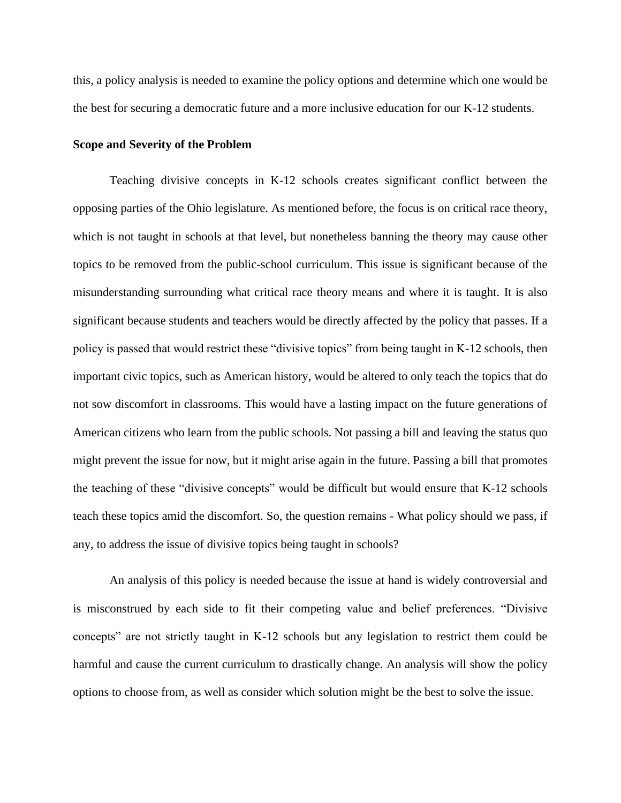this, a policy analysis is needed to examine the policy options and determine which one would be the best for securing a democratic future and a more inclusive education for our K-12 students.

#### **Scope and Severity of the Problem**

Teaching divisive concepts in K-12 schools creates significant conflict between the opposing parties of the Ohio legislature. As mentioned before, the focus is on critical race theory, which is not taught in schools at that level, but nonetheless banning the theory may cause other topics to be removed from the public-school curriculum. This issue is significant because of the misunderstanding surrounding what critical race theory means and where it is taught. It is also significant because students and teachers would be directly affected by the policy that passes. If a policy is passed that would restrict these "divisive topics" from being taught in K-12 schools, then important civic topics, such as American history, would be altered to only teach the topics that do not sow discomfort in classrooms. This would have a lasting impact on the future generations of American citizens who learn from the public schools. Not passing a bill and leaving the status quo might prevent the issue for now, but it might arise again in the future. Passing a bill that promotes the teaching of these "divisive concepts" would be difficult but would ensure that K-12 schools teach these topics amid the discomfort. So, the question remains - What policy should we pass, if any, to address the issue of divisive topics being taught in schools?

An analysis of this policy is needed because the issue at hand is widely controversial and is misconstrued by each side to fit their competing value and belief preferences. "Divisive concepts" are not strictly taught in K-12 schools but any legislation to restrict them could be harmful and cause the current curriculum to drastically change. An analysis will show the policy options to choose from, as well as consider which solution might be the best to solve the issue.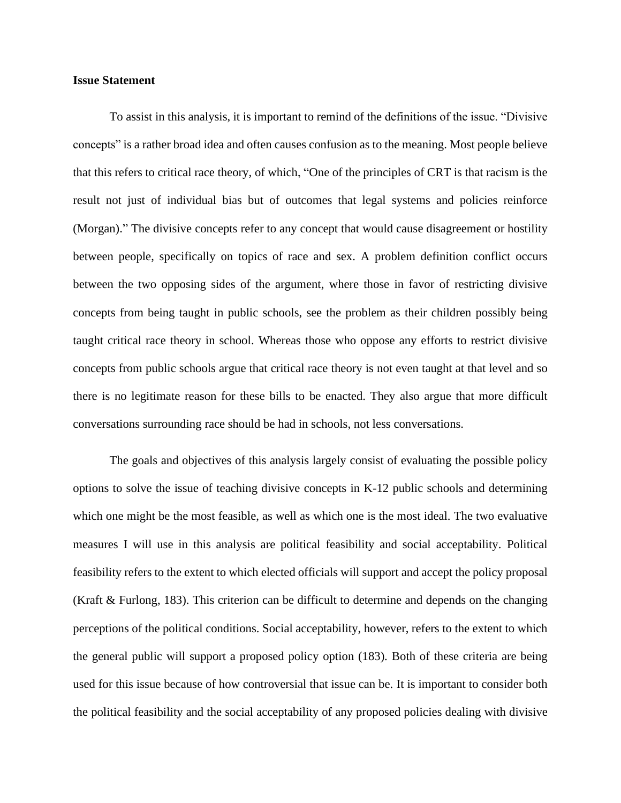#### **Issue Statement**

To assist in this analysis, it is important to remind of the definitions of the issue. "Divisive concepts" is a rather broad idea and often causes confusion as to the meaning. Most people believe that this refers to critical race theory, of which, "One of the principles of CRT is that racism is the result not just of individual bias but of outcomes that legal systems and policies reinforce (Morgan)." The divisive concepts refer to any concept that would cause disagreement or hostility between people, specifically on topics of race and sex. A problem definition conflict occurs between the two opposing sides of the argument, where those in favor of restricting divisive concepts from being taught in public schools, see the problem as their children possibly being taught critical race theory in school. Whereas those who oppose any efforts to restrict divisive concepts from public schools argue that critical race theory is not even taught at that level and so there is no legitimate reason for these bills to be enacted. They also argue that more difficult conversations surrounding race should be had in schools, not less conversations.

The goals and objectives of this analysis largely consist of evaluating the possible policy options to solve the issue of teaching divisive concepts in K-12 public schools and determining which one might be the most feasible, as well as which one is the most ideal. The two evaluative measures I will use in this analysis are political feasibility and social acceptability. Political feasibility refers to the extent to which elected officials will support and accept the policy proposal (Kraft & Furlong, 183). This criterion can be difficult to determine and depends on the changing perceptions of the political conditions. Social acceptability, however, refers to the extent to which the general public will support a proposed policy option (183). Both of these criteria are being used for this issue because of how controversial that issue can be. It is important to consider both the political feasibility and the social acceptability of any proposed policies dealing with divisive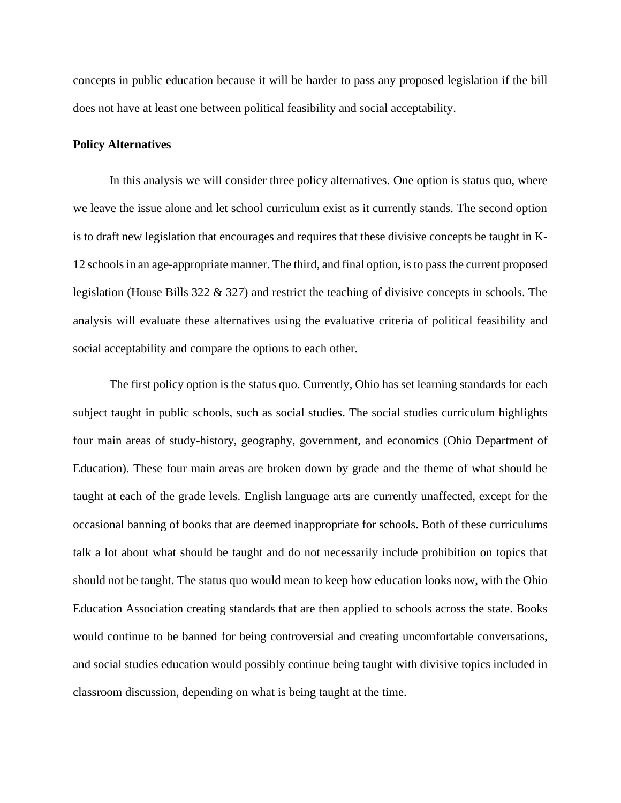concepts in public education because it will be harder to pass any proposed legislation if the bill does not have at least one between political feasibility and social acceptability.

## **Policy Alternatives**

In this analysis we will consider three policy alternatives. One option is status quo, where we leave the issue alone and let school curriculum exist as it currently stands. The second option is to draft new legislation that encourages and requires that these divisive concepts be taught in K-12 schools in an age-appropriate manner. The third, and final option, is to pass the current proposed legislation (House Bills 322 & 327) and restrict the teaching of divisive concepts in schools. The analysis will evaluate these alternatives using the evaluative criteria of political feasibility and social acceptability and compare the options to each other.

The first policy option is the status quo. Currently, Ohio has set learning standards for each subject taught in public schools, such as social studies. The social studies curriculum highlights four main areas of study-history, geography, government, and economics (Ohio Department of Education). These four main areas are broken down by grade and the theme of what should be taught at each of the grade levels. English language arts are currently unaffected, except for the occasional banning of books that are deemed inappropriate for schools. Both of these curriculums talk a lot about what should be taught and do not necessarily include prohibition on topics that should not be taught. The status quo would mean to keep how education looks now, with the Ohio Education Association creating standards that are then applied to schools across the state. Books would continue to be banned for being controversial and creating uncomfortable conversations, and social studies education would possibly continue being taught with divisive topics included in classroom discussion, depending on what is being taught at the time.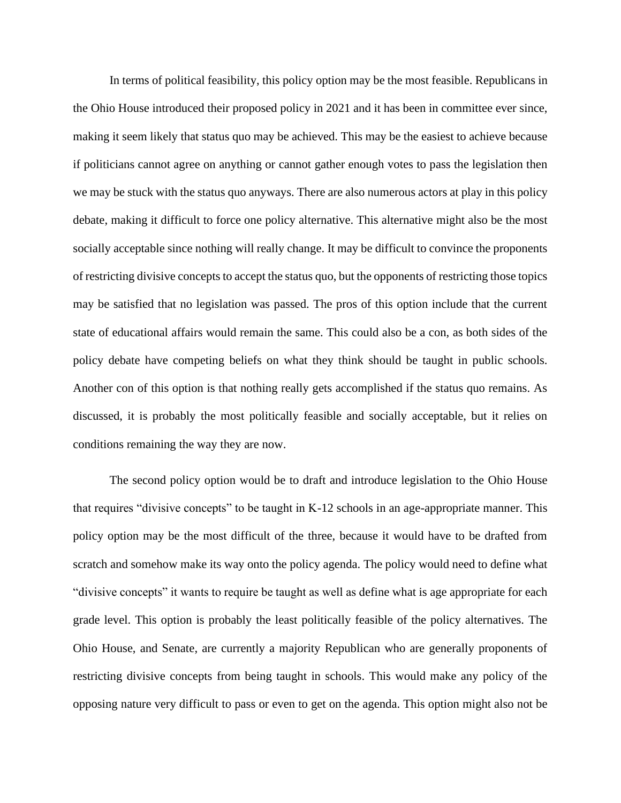In terms of political feasibility, this policy option may be the most feasible. Republicans in the Ohio House introduced their proposed policy in 2021 and it has been in committee ever since, making it seem likely that status quo may be achieved. This may be the easiest to achieve because if politicians cannot agree on anything or cannot gather enough votes to pass the legislation then we may be stuck with the status quo anyways. There are also numerous actors at play in this policy debate, making it difficult to force one policy alternative. This alternative might also be the most socially acceptable since nothing will really change. It may be difficult to convince the proponents of restricting divisive concepts to accept the status quo, but the opponents of restricting those topics may be satisfied that no legislation was passed. The pros of this option include that the current state of educational affairs would remain the same. This could also be a con, as both sides of the policy debate have competing beliefs on what they think should be taught in public schools. Another con of this option is that nothing really gets accomplished if the status quo remains. As discussed, it is probably the most politically feasible and socially acceptable, but it relies on conditions remaining the way they are now.

The second policy option would be to draft and introduce legislation to the Ohio House that requires "divisive concepts" to be taught in K-12 schools in an age-appropriate manner. This policy option may be the most difficult of the three, because it would have to be drafted from scratch and somehow make its way onto the policy agenda. The policy would need to define what "divisive concepts" it wants to require be taught as well as define what is age appropriate for each grade level. This option is probably the least politically feasible of the policy alternatives. The Ohio House, and Senate, are currently a majority Republican who are generally proponents of restricting divisive concepts from being taught in schools. This would make any policy of the opposing nature very difficult to pass or even to get on the agenda. This option might also not be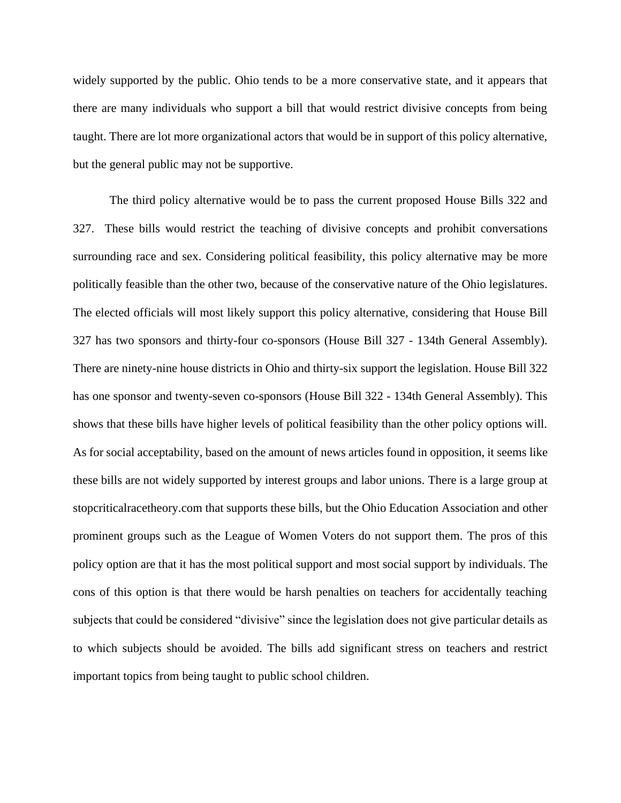widely supported by the public. Ohio tends to be a more conservative state, and it appears that there are many individuals who support a bill that would restrict divisive concepts from being taught. There are lot more organizational actors that would be in support of this policy alternative, but the general public may not be supportive.

The third policy alternative would be to pass the current proposed House Bills 322 and 327. These bills would restrict the teaching of divisive concepts and prohibit conversations surrounding race and sex. Considering political feasibility, this policy alternative may be more politically feasible than the other two, because of the conservative nature of the Ohio legislatures. The elected officials will most likely support this policy alternative, considering that House Bill 327 has two sponsors and thirty-four co-sponsors (House Bill 327 - 134th General Assembly). There are ninety-nine house districts in Ohio and thirty-six support the legislation. House Bill 322 has one sponsor and twenty-seven co-sponsors (House Bill 322 - 134th General Assembly). This shows that these bills have higher levels of political feasibility than the other policy options will. As for social acceptability, based on the amount of news articles found in opposition, it seems like these bills are not widely supported by interest groups and labor unions. There is a large group at stopcriticalracetheory.com that supports these bills, but the Ohio Education Association and other prominent groups such as the League of Women Voters do not support them. The pros of this policy option are that it has the most political support and most social support by individuals. The cons of this option is that there would be harsh penalties on teachers for accidentally teaching subjects that could be considered "divisive" since the legislation does not give particular details as to which subjects should be avoided. The bills add significant stress on teachers and restrict important topics from being taught to public school children.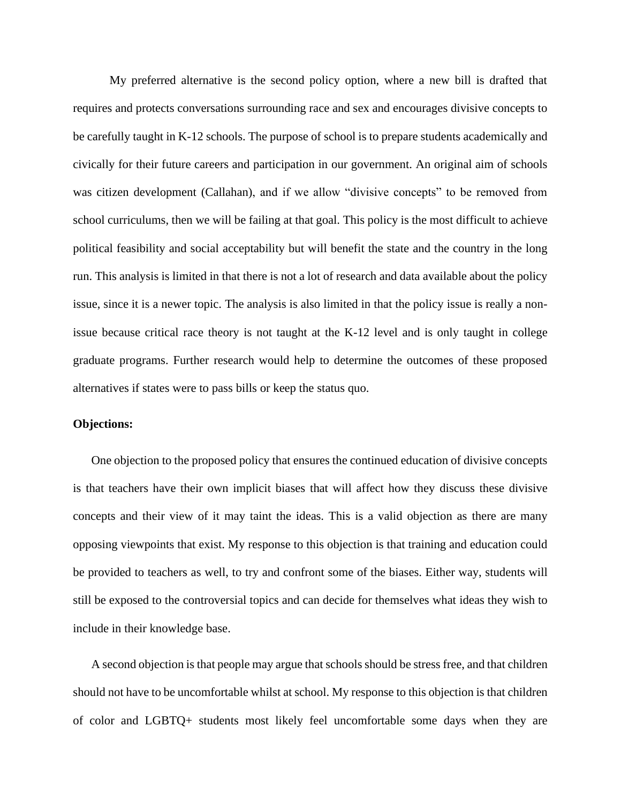My preferred alternative is the second policy option, where a new bill is drafted that requires and protects conversations surrounding race and sex and encourages divisive concepts to be carefully taught in K-12 schools. The purpose of school is to prepare students academically and civically for their future careers and participation in our government. An original aim of schools was citizen development (Callahan), and if we allow "divisive concepts" to be removed from school curriculums, then we will be failing at that goal. This policy is the most difficult to achieve political feasibility and social acceptability but will benefit the state and the country in the long run. This analysis is limited in that there is not a lot of research and data available about the policy issue, since it is a newer topic. The analysis is also limited in that the policy issue is really a nonissue because critical race theory is not taught at the K-12 level and is only taught in college graduate programs. Further research would help to determine the outcomes of these proposed alternatives if states were to pass bills or keep the status quo.

# **Objections:**

One objection to the proposed policy that ensures the continued education of divisive concepts is that teachers have their own implicit biases that will affect how they discuss these divisive concepts and their view of it may taint the ideas. This is a valid objection as there are many opposing viewpoints that exist. My response to this objection is that training and education could be provided to teachers as well, to try and confront some of the biases. Either way, students will still be exposed to the controversial topics and can decide for themselves what ideas they wish to include in their knowledge base.

A second objection is that people may argue that schools should be stress free, and that children should not have to be uncomfortable whilst at school. My response to this objection is that children of color and LGBTQ+ students most likely feel uncomfortable some days when they are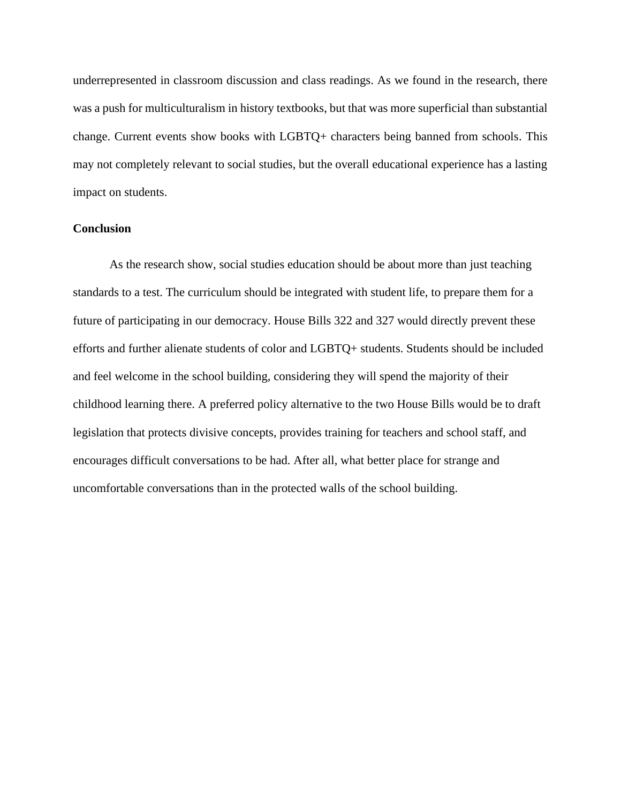underrepresented in classroom discussion and class readings. As we found in the research, there was a push for multiculturalism in history textbooks, but that was more superficial than substantial change. Current events show books with LGBTQ+ characters being banned from schools. This may not completely relevant to social studies, but the overall educational experience has a lasting impact on students.

# **Conclusion**

As the research show, social studies education should be about more than just teaching standards to a test. The curriculum should be integrated with student life, to prepare them for a future of participating in our democracy. House Bills 322 and 327 would directly prevent these efforts and further alienate students of color and LGBTQ+ students. Students should be included and feel welcome in the school building, considering they will spend the majority of their childhood learning there. A preferred policy alternative to the two House Bills would be to draft legislation that protects divisive concepts, provides training for teachers and school staff, and encourages difficult conversations to be had. After all, what better place for strange and uncomfortable conversations than in the protected walls of the school building.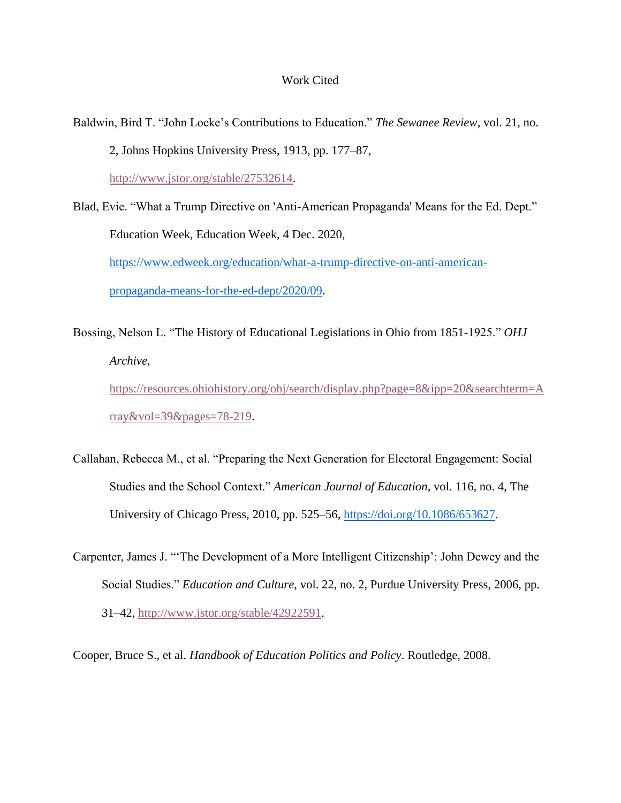#### Work Cited

- Baldwin, Bird T. "John Locke's Contributions to Education." *The Sewanee Review*, vol. 21, no. 2, Johns Hopkins University Press, 1913, pp. 177–87, [http://www.jstor.org/stable/27532614.](http://www.jstor.org/stable/27532614)
- Blad, Evie. "What a Trump Directive on 'Anti-American Propaganda' Means for the Ed. Dept." Education Week, Education Week, 4 Dec. 2020, [https://www.edweek.org/education/what-a-trump-directive-on-anti-american](https://www.edweek.org/education/what-a-trump-directive-on-anti-american-propaganda-means-for-the-ed-dept/2020/09)[propaganda-means-for-the-ed-dept/2020/09.](https://www.edweek.org/education/what-a-trump-directive-on-anti-american-propaganda-means-for-the-ed-dept/2020/09)
- Bossing, Nelson L. "The History of Educational Legislations in Ohio from 1851-1925." *OHJ Archive*, [https://resources.ohiohistory.org/ohj/search/display.php?page=8&ipp=20&searchterm=A](https://resources.ohiohistory.org/ohj/search/display.php?page=8&ipp=20&searchterm=Array&vol=39&pages=78-219) [rray&vol=39&pages=78-219.](https://resources.ohiohistory.org/ohj/search/display.php?page=8&ipp=20&searchterm=Array&vol=39&pages=78-219)
- Callahan, Rebecca M., et al. "Preparing the Next Generation for Electoral Engagement: Social Studies and the School Context." *American Journal of Education*, vol. 116, no. 4, The University of Chicago Press, 2010, pp. 525–56, [https://doi.org/10.1086/653627.](https://doi.org/10.1086/653627)
- Carpenter, James J. "'The Development of a More Intelligent Citizenship': John Dewey and the Social Studies." *Education and Culture*, vol. 22, no. 2, Purdue University Press, 2006, pp. 31–42, [http://www.jstor.org/stable/42922591.](https://nam02.safelinks.protection.outlook.com/?url=http%3A%2F%2Fwww.jstor.org%2Fstable%2F42922591&data=04%7C01%7Clarsenr%40bgsu.edu%7C7e80c36c95f2421f1b3908d9d5e28bc7%7Ccdcb729d51064d7cb75ba30c455d5b0a%7C1%7C0%7C637775991243416995%7CUnknown%7CTWFpbGZsb3d8eyJWIjoiMC4wLjAwMDAiLCJQIjoiV2luMzIiLCJBTiI6Ik1haWwiLCJXVCI6Mn0%3D%7C3000&sdata=hZcVfcYYLS868y6m76hbVf%2BzlHp2JVZe%2FUYd4g4O19Q%3D&reserved=0)

Cooper, Bruce S., et al. *Handbook of Education Politics and Policy*. Routledge, 2008.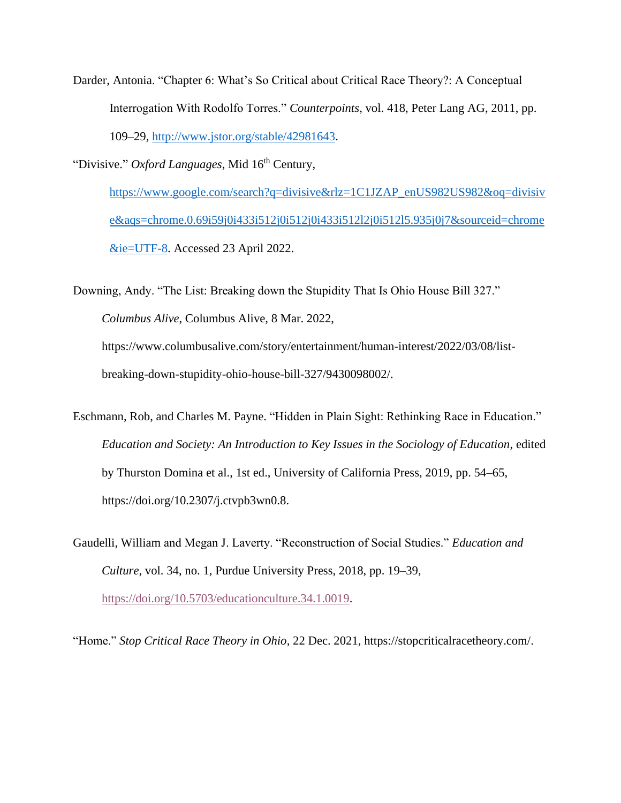- Darder, Antonia. "Chapter 6: What's So Critical about Critical Race Theory?: A Conceptual Interrogation With Rodolfo Torres." *Counterpoints*, vol. 418, Peter Lang AG, 2011, pp. 109–29, [http://www.jstor.org/stable/42981643.](http://www.jstor.org/stable/42981643)
- "Divisive." *Oxford Languages*, Mid 16<sup>th</sup> Century,

[https://www.google.com/search?q=divisive&rlz=1C1JZAP\\_enUS982US982&oq=divisiv](https://www.google.com/search?q=divisive&rlz=1C1JZAP_enUS982US982&oq=divisive&aqs=chrome.0.69i59j0i433i512j0i512j0i433i512l2j0i512l5.935j0j7&sourceid=chrome&ie=UTF-8) [e&aqs=chrome.0.69i59j0i433i512j0i512j0i433i512l2j0i512l5.935j0j7&sourceid=chrome](https://www.google.com/search?q=divisive&rlz=1C1JZAP_enUS982US982&oq=divisive&aqs=chrome.0.69i59j0i433i512j0i512j0i433i512l2j0i512l5.935j0j7&sourceid=chrome&ie=UTF-8) [&ie=UTF-8.](https://www.google.com/search?q=divisive&rlz=1C1JZAP_enUS982US982&oq=divisive&aqs=chrome.0.69i59j0i433i512j0i512j0i433i512l2j0i512l5.935j0j7&sourceid=chrome&ie=UTF-8) Accessed 23 April 2022.

Downing, Andy. "The List: Breaking down the Stupidity That Is Ohio House Bill 327." *Columbus Alive*, Columbus Alive, 8 Mar. 2022, https://www.columbusalive.com/story/entertainment/human-interest/2022/03/08/listbreaking-down-stupidity-ohio-house-bill-327/9430098002/.

Eschmann, Rob, and Charles M. Payne. "Hidden in Plain Sight: Rethinking Race in Education." *Education and Society: An Introduction to Key Issues in the Sociology of Education*, edited by Thurston Domina et al., 1st ed., University of California Press, 2019, pp. 54–65, https://doi.org/10.2307/j.ctvpb3wn0.8.

Gaudelli, William and Megan J. Laverty. "Reconstruction of Social Studies." *Education and Culture*, vol. 34, no. 1, Purdue University Press, 2018, pp. 19–39, [https://doi.org/10.5703/educationculture.34.1.0019.](https://doi.org/10.5703/educationculture.34.1.0019)

"Home." *Stop Critical Race Theory in Ohio*, 22 Dec. 2021, https://stopcriticalracetheory.com/.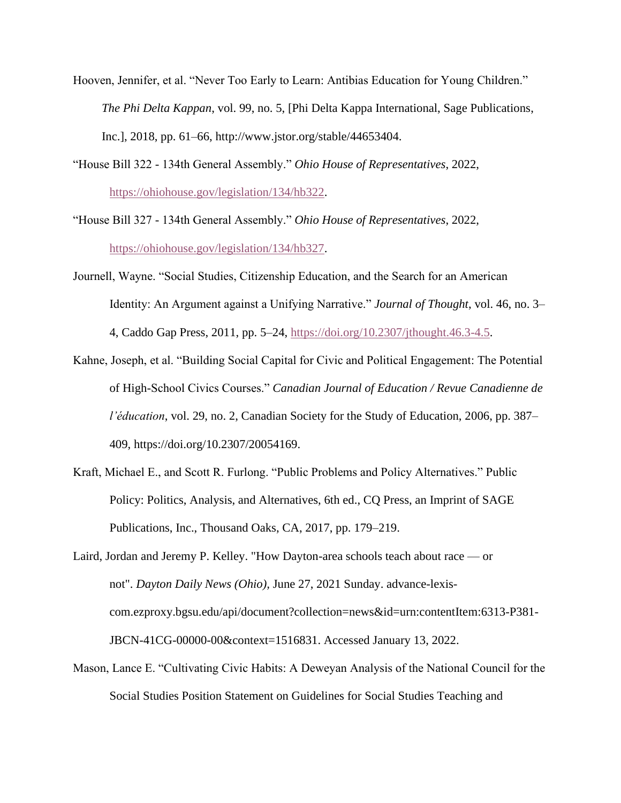- Hooven, Jennifer, et al. "Never Too Early to Learn: Antibias Education for Young Children." *The Phi Delta Kappan*, vol. 99, no. 5, [Phi Delta Kappa International, Sage Publications, Inc.], 2018, pp. 61–66, http://www.jstor.org/stable/44653404.
- "House Bill 322 134th General Assembly." *Ohio House of Representatives*, 2022, [https://ohiohouse.gov/legislation/134/hb322.](https://ohiohouse.gov/legislation/134/hb322)
- "House Bill 327 134th General Assembly." *Ohio House of Representatives*, 2022, [https://ohiohouse.gov/legislation/134/hb327.](https://ohiohouse.gov/legislation/134/hb327)
- Journell, Wayne. "Social Studies, Citizenship Education, and the Search for an American Identity: An Argument against a Unifying Narrative." *Journal of Thought*, vol. 46, no. 3– 4, Caddo Gap Press, 2011, pp. 5–24, [https://doi.org/10.2307/jthought.46.3-4.5.](https://doi.org/10.2307/jthought.46.3-4.5)
- Kahne, Joseph, et al. "Building Social Capital for Civic and Political Engagement: The Potential of High-School Civics Courses." *Canadian Journal of Education / Revue Canadienne de l'éducation*, vol. 29, no. 2, Canadian Society for the Study of Education, 2006, pp. 387– 409, https://doi.org/10.2307/20054169.
- Kraft, Michael E., and Scott R. Furlong. "Public Problems and Policy Alternatives." Public Policy: Politics, Analysis, and Alternatives, 6th ed., CQ Press, an Imprint of SAGE Publications, Inc., Thousand Oaks, CA, 2017, pp. 179–219.
- Laird, Jordan and Jeremy P. Kelley. "How Dayton-area schools teach about race or not". *Dayton Daily News (Ohio),* June 27, 2021 Sunday. advance-lexiscom.ezproxy.bgsu.edu/api/document?collection=news&id=urn:contentItem:6313-P381- JBCN-41CG-00000-00&context=1516831. Accessed January 13, 2022.
- Mason, Lance E. "Cultivating Civic Habits: A Deweyan Analysis of the National Council for the Social Studies Position Statement on Guidelines for Social Studies Teaching and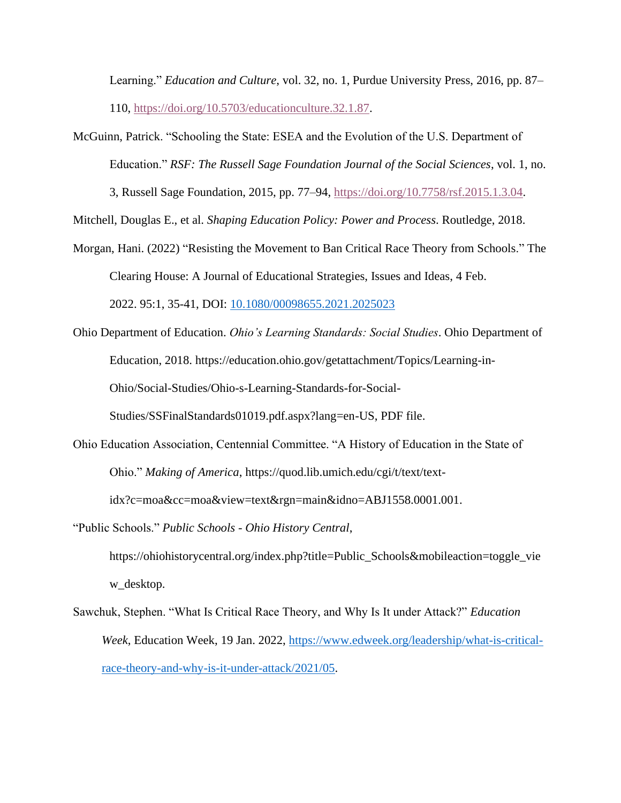Learning." *Education and Culture*, vol. 32, no. 1, Purdue University Press, 2016, pp. 87– 110, [https://doi.org/10.5703/educationculture.32.1.87.](https://doi.org/10.5703/educationculture.32.1.87)

McGuinn, Patrick. "Schooling the State: ESEA and the Evolution of the U.S. Department of Education." *RSF: The Russell Sage Foundation Journal of the Social Sciences*, vol. 1, no.

3, Russell Sage Foundation, 2015, pp. 77–94, [https://doi.org/10.7758/rsf.2015.1.3.04.](https://doi.org/10.7758/rsf.2015.1.3.04)

Mitchell, Douglas E., et al. *Shaping Education Policy: Power and Process*. Routledge, 2018.

- Morgan, Hani. (2022) "Resisting the Movement to Ban Critical Race Theory from Schools." The Clearing House: A Journal of Educational Strategies, Issues and Ideas, 4 Feb. 2022. 95:1, 35-41, DOI: [10.1080/00098655.2021.2025023](https://doi.org/10.1080/00098655.2021.2025023)
- Ohio Department of Education. *Ohio's Learning Standards: Social Studies*. Ohio Department of Education, 2018. https://education.ohio.gov/getattachment/Topics/Learning-in-Ohio/Social-Studies/Ohio-s-Learning-Standards-for-Social-

Studies/SSFinalStandards01019.pdf.aspx?lang=en-US, PDF file.

Ohio Education Association, Centennial Committee. "A History of Education in the State of Ohio." *Making of America*, https://quod.lib.umich.edu/cgi/t/text/text-

idx?c=moa&cc=moa&view=text&rgn=main&idno=ABJ1558.0001.001.

"Public Schools." *Public Schools - Ohio History Central*,

https://ohiohistorycentral.org/index.php?title=Public\_Schools&mobileaction=toggle\_vie w\_desktop.

Sawchuk, Stephen. "What Is Critical Race Theory, and Why Is It under Attack?" *Education Week*, Education Week, 19 Jan. 2022, [https://www.edweek.org/leadership/what-is-critical](https://www.edweek.org/leadership/what-is-critical-race-theory-and-why-is-it-under-attack/2021/05)[race-theory-and-why-is-it-under-attack/2021/05.](https://www.edweek.org/leadership/what-is-critical-race-theory-and-why-is-it-under-attack/2021/05)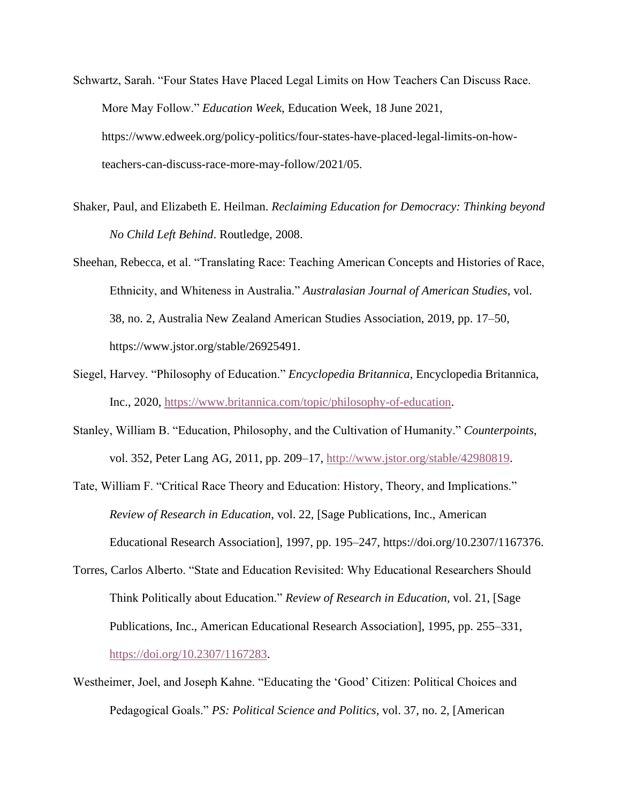- Schwartz, Sarah. "Four States Have Placed Legal Limits on How Teachers Can Discuss Race. More May Follow." *Education Week*, Education Week, 18 June 2021, https://www.edweek.org/policy-politics/four-states-have-placed-legal-limits-on-howteachers-can-discuss-race-more-may-follow/2021/05.
- Shaker, Paul, and Elizabeth E. Heilman. *Reclaiming Education for Democracy: Thinking beyond No Child Left Behind*. Routledge, 2008.
- Sheehan, Rebecca, et al. "Translating Race: Teaching American Concepts and Histories of Race, Ethnicity, and Whiteness in Australia." *Australasian Journal of American Studies*, vol. 38, no. 2, Australia New Zealand American Studies Association, 2019, pp. 17–50, https://www.jstor.org/stable/26925491.
- Siegel, Harvey. "Philosophy of Education." *Encyclopedia Britannica*, Encyclopedia Britannica, Inc., 2020, [https://www.britannica.com/topic/philosophy-of-education.](https://www.britannica.com/topic/philosophy-of-education)
- Stanley, William B. "Education, Philosophy, and the Cultivation of Humanity." *Counterpoints*, vol. 352, Peter Lang AG, 2011, pp. 209–17, [http://www.jstor.org/stable/42980819.](https://nam02.safelinks.protection.outlook.com/?url=http%3A%2F%2Fwww.jstor.org%2Fstable%2F42980819&data=04%7C01%7Clarsenr%40bgsu.edu%7C7e80c36c95f2421f1b3908d9d5e28bc7%7Ccdcb729d51064d7cb75ba30c455d5b0a%7C1%7C0%7C637775991243416995%7CUnknown%7CTWFpbGZsb3d8eyJWIjoiMC4wLjAwMDAiLCJQIjoiV2luMzIiLCJBTiI6Ik1haWwiLCJXVCI6Mn0%3D%7C3000&sdata=JK6XvGRv3e%2B15uikxzzj5PT1UrBGXK2kIYcNf6layxU%3D&reserved=0)
- Tate, William F. "Critical Race Theory and Education: History, Theory, and Implications." *Review of Research in Education*, vol. 22, [Sage Publications, Inc., American Educational Research Association], 1997, pp. 195–247, https://doi.org/10.2307/1167376.
- Torres, Carlos Alberto. "State and Education Revisited: Why Educational Researchers Should Think Politically about Education." *Review of Research in Education*, vol. 21, [Sage Publications, Inc., American Educational Research Association], 1995, pp. 255–331, [https://doi.org/10.2307/1167283.](https://doi.org/10.2307/1167283)
- Westheimer, Joel, and Joseph Kahne. "Educating the 'Good' Citizen: Political Choices and Pedagogical Goals." *PS: Political Science and Politics*, vol. 37, no. 2, [American